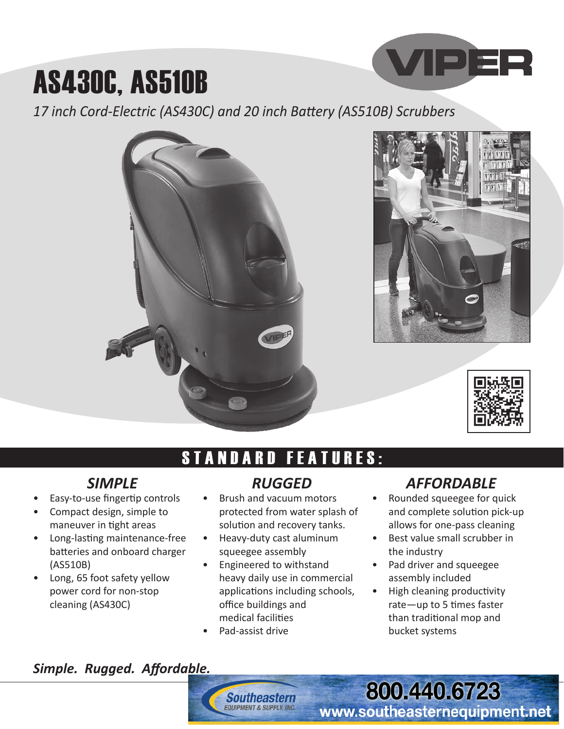## AS430C, AS510B

*17 inch Cord-Electric (AS430C) and 20 inch Battery (AS510B) Scrubbers*



### **ANDARD FEATURES:**

#### *SIMPLE*

- Easy-to-use fingertip controls
- Compact design, simple to maneuver in tight areas
- Long-lasting maintenance-free batteries and onboard charger (AS510B)
- Long, 65 foot safety yellow power cord for non-stop cleaning (AS430C)

#### *RUGGED*

- Brush and vacuum motors protected from water splash of solution and recovery tanks.
- Heavy-duty cast aluminum squeegee assembly
- Engineered to withstand heavy daily use in commercial applications including schools, office buildings and medical facilities
- Pad-assist drive

**Southeastern COUPMENT & SUPPLY INC.** 

#### *AFFORDABLE*

**VIPER** 

- Rounded squeegee for quick and complete solution pick-up allows for one-pass cleaning
- Best value small scrubber in the industry
- Pad driver and squeegee assembly included
- High cleaning productivity rate—up to 5 times faster than traditional mop and bucket systems

**800.440.6723** 

www.southeasternequipment.net

#### *Simple. Rugged. Affordable.*